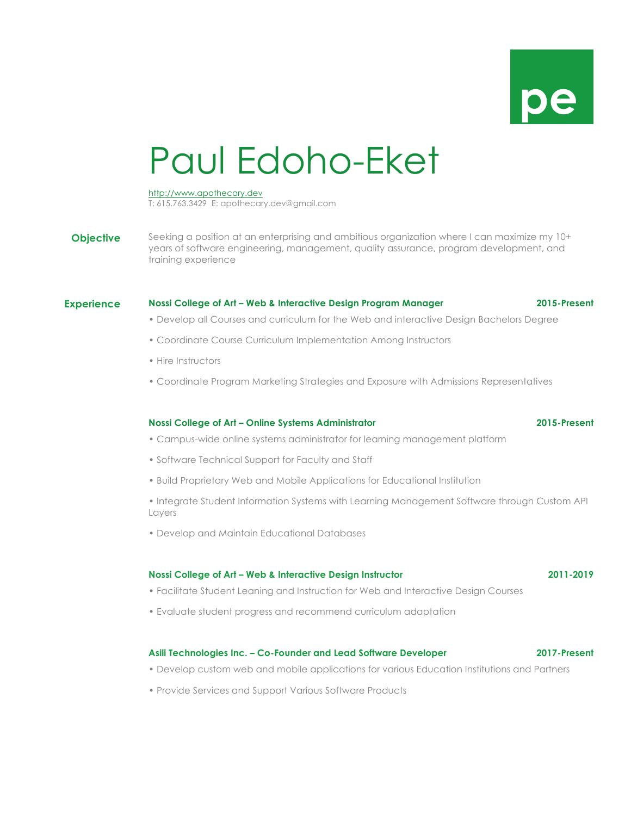

# Paul Edoho-Eket

#### http://www.apothecary.dev

T: 615.763.3429 E: apothecary.dev@gmail.com

**Objective** Seeking a position at an enterprising and ambitious organization where I can maximize my 10+ years of software engineering, management, quality assurance, program development, and training experience

## **Experience Nossi College of Art – Web & Interactive Design Program Manager 2015-Present**

- Develop all Courses and curriculum for the Web and interactive Design Bachelors Degree
- Coordinate Course Curriculum Implementation Among Instructors
- Hire Instructors
- Coordinate Program Marketing Strategies and Exposure with Admissions Representatives

#### **Nossi College of Art – Online Systems Administrator 2015-Present**

# • Campus-wide online systems administrator for learning management platform

- Software Technical Support for Faculty and Staff
- Build Proprietary Web and Mobile Applications for Educational Institution
- Integrate Student Information Systems with Learning Management Software through Custom API Layers
- Develop and Maintain Educational Databases

#### **Nossi College of Art – Web & Interactive Design Instructor 2011-2019**

- 
- Facilitate Student Leaning and Instruction for Web and Interactive Design Courses
- Evaluate student progress and recommend curriculum adaptation

#### **Asili Technologies Inc. – Co-Founder and Lead Software Developer 2017-Present**

- Develop custom web and mobile applications for various Education Institutions and Partners
- Provide Services and Support Various Software Products